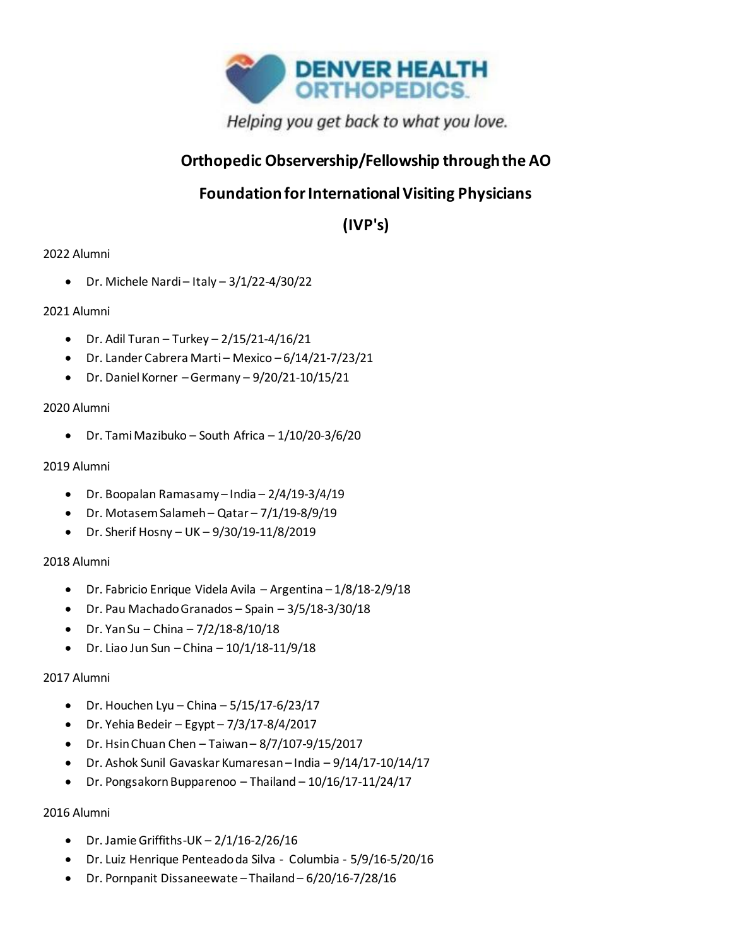

Helping you get back to what you love.

## **Orthopedic Observership/Fellowship through the AO**

# **Foundation for International Visiting Physicians**

**(IVP's)**

#### 2022 Alumni

• Dr. Michele Nardi – Italy – 3/1/22-4/30/22

#### 2021 Alumni

- $\bullet$  Dr. Adil Turan Turkey 2/15/21-4/16/21
- Dr. Lander Cabrera Marti Mexico 6/14/21-7/23/21
- Dr. Daniel Korner –Germany 9/20/21-10/15/21

#### 2020 Alumni

• Dr. Tami Mazibuko – South Africa – 1/10/20-3/6/20

### 2019 Alumni

- Dr. Boopalan Ramasamy India 2/4/19-3/4/19
- Dr. Motasem Salameh Qatar 7/1/19-8/9/19
- Dr. Sherif Hosny UK 9/30/19-11/8/2019

#### 2018 Alumni

- Dr. Fabricio Enrique Videla Avila Argentina 1/8/18-2/9/18
- Dr. Pau Machado Granados Spain 3/5/18-3/30/18
- Dr. Yan Su China  $7/2/18 8/10/18$
- $\bullet$  Dr. Liao Jun Sun China 10/1/18-11/9/18

#### 2017 Alumni

- Dr. Houchen Lyu China  $5/15/17 6/23/17$
- Dr. Yehia Bedeir Egypt  $7/3/17-8/4/2017$
- $\bullet$  Dr. Hsin Chuan Chen Taiwan 8/7/107-9/15/2017
- Dr. Ashok Sunil Gavaskar Kumaresan India 9/14/17-10/14/17
- Dr. Pongsakorn Bupparenoo Thailand 10/16/17-11/24/17

#### 2016 Alumni

- $\bullet$  Dr. Jamie Griffiths-UK 2/1/16-2/26/16
- Dr. Luiz Henrique Penteado da Silva Columbia 5/9/16-5/20/16
- Dr. Pornpanit Dissaneewate Thailand 6/20/16-7/28/16